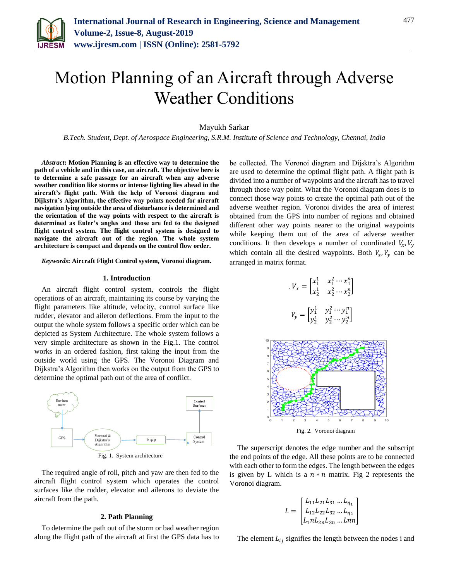

Mayukh Sarkar

*B.Tech. Student, Dept. of Aerospace Engineering, S.R.M. Institute of Science and Technology, Chennai, India*

*Abstract***: Motion Planning is an effective way to determine the path of a vehicle and in this case, an aircraft. The objective here is to determine a safe passage for an aircraft when any adverse weather condition like storms or intense lighting lies ahead in the aircraft's flight path. With the help of Voronoi diagram and Dijkstra's Algorithm, the effective way points needed for aircraft navigation lying outside the area of disturbance is determined and the orientation of the way points with respect to the aircraft is determined as Euler's angles and those are fed to the designed flight control system. The flight control system is designed to navigate the aircraft out of the region. The whole system architecture is compact and depends on the control flow order.**

*Keywords***: Aircraft Flight Control system, Voronoi diagram.**

#### **1. Introduction**

An aircraft flight control system, controls the flight operations of an aircraft, maintaining its course by varying the flight parameters like altitude, velocity, control surface like rudder, elevator and aileron deflections. From the input to the output the whole system follows a specific order which can be depicted as System Architecture. The whole system follows a very simple architecture as shown in the Fig.1. The control works in an ordered fashion, first taking the input from the outside world using the GPS. The Voronoi Diagram and Dijkstra's Algorithm then works on the output from the GPS to determine the optimal path out of the area of conflict.



Fig. 1. System architecture

The required angle of roll, pitch and yaw are then fed to the aircraft flight control system which operates the control surfaces like the rudder, elevator and ailerons to deviate the aircraft from the path.

## **2. Path Planning**

To determine the path out of the storm or bad weather region along the flight path of the aircraft at first the GPS data has to be collected. The Voronoi diagram and Dijsktra's Algorithm are used to determine the optimal flight path. A flight path is divided into a number of waypoints and the aircraft has to travel through those way point. What the Voronoi diagram does is to connect those way points to create the optimal path out of the adverse weather region. Voronoi divides the area of interest obtained from the GPS into number of regions and obtained different other way points nearer to the original waypoints while keeping them out of the area of adverse weather conditions. It then develops a number of coordinated  $V_x$ ,  $V_y$ which contain all the desired waypoints. Both  $V_x$ ,  $V_y$  can be arranged in matrix format.

$$
V_x = \begin{bmatrix} x_1^1 & x_1^2 \cdots x_1^n \\ x_2^1 & x_2^2 \cdots x_2^n \end{bmatrix}
$$

$$
V_y = \begin{bmatrix} y_1^1 & y_1^2 \cdots y_1^n \\ y_2^1 & y_2^2 \cdots y_2^n \end{bmatrix}
$$



The superscript denotes the edge number and the subscript the end points of the edge. All these points are to be connected with each other to form the edges. The length between the edges is given by L which is a  $n * n$  matrix. Fig 2 represents the Voronoi diagram.

$$
L = \begin{bmatrix} L_{11}L_{21}L_{31} \dots L_{\eta_1} \\ L_{12}L_{22}L_{32} \dots L_{\eta_2} \\ L_{1}nL_{2n}L_{3n} \dots Lnn \end{bmatrix}
$$

The element  $L_{ij}$  signifies the length between the nodes i and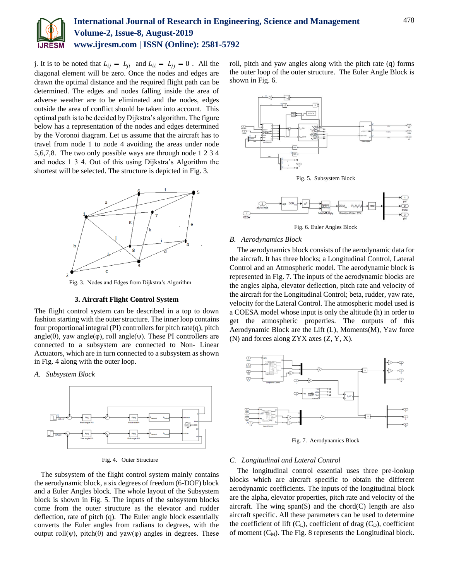

j. It is to be noted that  $L_{ij} = L_{ji}$  and  $L_{ii} = L_{jj} = 0$ . All the diagonal element will be zero. Once the nodes and edges are drawn the optimal distance and the required flight path can be determined. The edges and nodes falling inside the area of adverse weather are to be eliminated and the nodes, edges outside the area of conflict should be taken into account. This optimal path is to be decided by Dijkstra's algorithm. The figure below has a representation of the nodes and edges determined by the Voronoi diagram. Let us assume that the aircraft has to travel from node 1 to node 4 avoiding the areas under node 5,6,7,8. The two only possible ways are through node 1 2 3 4 and nodes 1 3 4. Out of this using Dijkstra's Algorithm the shortest will be selected. The structure is depicted in Fig. 3.



# **3. Aircraft Flight Control System**

The flight control system can be described in a top to down fashion starting with the outer structure. The inner loop contains four proportional integral (PI) controllers for pitch rate $(q)$ , pitch angle( $\theta$ ), yaw angle( $\varphi$ ), roll angle( $\psi$ ). These PI controllers are connected to a subsystem are connected to Non- Linear Actuators, which are in turn connected to a subsystem as shown in Fig. 4 along with the outer loop.

*A. Subsystem Block*



Fig. 4. Outer Structure

The subsystem of the flight control system mainly contains the aerodynamic block, a six degrees of freedom (6-DOF) block and a Euler Angles block. The whole layout of the Subsystem block is shown in Fig. 5. The inputs of the subsystem blocks come from the outer structure as the elevator and rudder deflection, rate of pitch (q). The Euler angle block essentially converts the Euler angles from radians to degrees, with the output roll(ψ), pitch(θ) and yaw(φ) angles in degrees. These roll, pitch and yaw angles along with the pitch rate (q) forms the outer loop of the outer structure. The Euler Angle Block is shown in Fig. 6.



Fig. 5. Subsystem Block



Fig. 6. Euler Angles Block

## *B. Aerodynamics Block*

The aerodynamics block consists of the aerodynamic data for the aircraft. It has three blocks; a Longitudinal Control, Lateral Control and an Atmospheric model. The aerodynamic block is represented in Fig. 7. The inputs of the aerodynamic blocks are the angles alpha, elevator deflection, pitch rate and velocity of the aircraft for the Longitudinal Control; beta, rudder, yaw rate, velocity for the Lateral Control. The atmospheric model used is a COESA model whose input is only the altitude (h) in order to get the atmospheric properties. The outputs of this Aerodynamic Block are the Lift (L), Moments(M), Yaw force (N) and forces along ZYX axes (Z, Y, X).



Fig. 7. Aerodynamics Block

## *C. Longitudinal and Lateral Control*

The longitudinal control essential uses three pre-lookup blocks which are aircraft specific to obtain the different aerodynamic coefficients. The inputs of the longitudinal block are the alpha, elevator properties, pitch rate and velocity of the aircraft. The wing  $span(S)$  and the chord $(C)$  length are also aircraft specific. All these parameters can be used to determine the coefficient of lift  $(C_L)$ , coefficient of drag  $(C_D)$ , coefficient of moment  $(C_M)$ . The Fig. 8 represents the Longitudinal block.